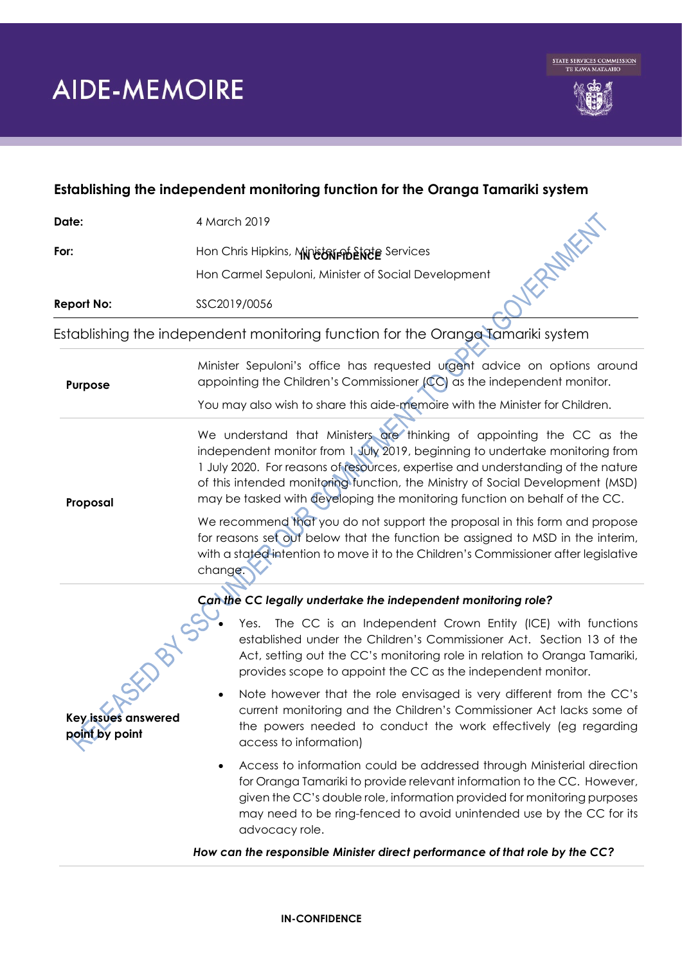

## **Establishing the independent monitoring function for the Oranga Tamariki system**

| Date:                                                                           | 4 March 2019                                                                                                                                                                                                                                                                                                                                                                                                                                                                                                                                                              |
|---------------------------------------------------------------------------------|---------------------------------------------------------------------------------------------------------------------------------------------------------------------------------------------------------------------------------------------------------------------------------------------------------------------------------------------------------------------------------------------------------------------------------------------------------------------------------------------------------------------------------------------------------------------------|
| For:                                                                            | Hon Chris Hipkins, Ministarian Exceed Services                                                                                                                                                                                                                                                                                                                                                                                                                                                                                                                            |
|                                                                                 | Hon Carmel Sepuloni, Minister of Social Development                                                                                                                                                                                                                                                                                                                                                                                                                                                                                                                       |
| <b>Report No:</b>                                                               | SSC2019/0056                                                                                                                                                                                                                                                                                                                                                                                                                                                                                                                                                              |
| Establishing the independent monitoring function for the Orange Tamariki system |                                                                                                                                                                                                                                                                                                                                                                                                                                                                                                                                                                           |
| <b>Purpose</b>                                                                  | Minister Sepuloni's office has requested urgent advice on options around<br>appointing the Children's Commissioner (CC) as the independent monitor.                                                                                                                                                                                                                                                                                                                                                                                                                       |
|                                                                                 | You may also wish to share this aide-memoire with the Minister for Children.                                                                                                                                                                                                                                                                                                                                                                                                                                                                                              |
| Proposal                                                                        | We understand that Ministers are thinking of appointing the CC as the<br>independent monitor from 1 July 2019, beginning to undertake monitoring from<br>1 July 2020. For reasons of resources, expertise and understanding of the nature<br>of this intended monitoring function, the Ministry of Social Development (MSD)<br>may be tasked with developing the monitoring function on behalf of the CC.<br>We recommend that you do not support the proposal in this form and propose<br>for reasons set out below that the function be assigned to MSD in the interim, |
|                                                                                 | with a stated intention to move it to the Children's Commissioner after legislative<br>change.                                                                                                                                                                                                                                                                                                                                                                                                                                                                            |
| Can the CC legally undertake the independent monitoring role?                   |                                                                                                                                                                                                                                                                                                                                                                                                                                                                                                                                                                           |
|                                                                                 | The CC is an Independent Crown Entity (ICE) with functions<br>Yes.<br>established under the Children's Commissioner Act. Section 13 of the<br>Act, setting out the CC's monitoring role in relation to Oranga Tamariki,<br>provides scope to appoint the CC as the independent monitor.                                                                                                                                                                                                                                                                                   |
| Key issues answered<br>point by point                                           | Note however that the role envisaged is very different from the CC's<br>current monitoring and the Children's Commissioner Act lacks some of<br>the powers needed to conduct the work effectively (eg regarding<br>access to information)                                                                                                                                                                                                                                                                                                                                 |
|                                                                                 | Access to information could be addressed through Ministerial direction<br>for Oranga Tamariki to provide relevant information to the CC. However,<br>given the CC's double role, information provided for monitoring purposes<br>may need to be ring-fenced to avoid unintended use by the CC for its<br>advocacy role.                                                                                                                                                                                                                                                   |
|                                                                                 | How can the responsible Minister direct performance of that role by the CC?                                                                                                                                                                                                                                                                                                                                                                                                                                                                                               |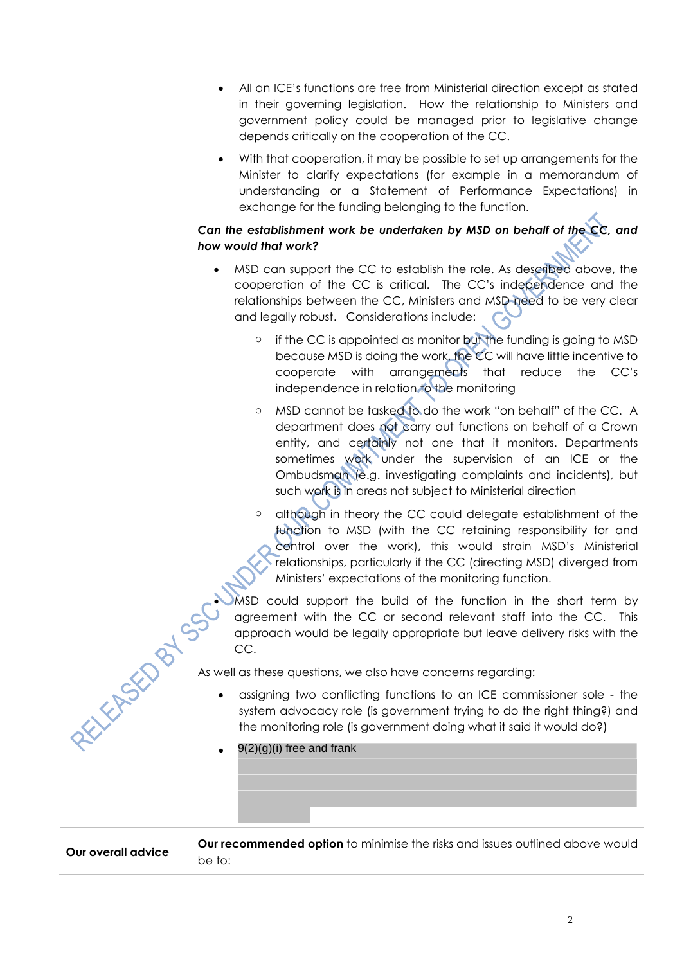- All an ICE's functions are free from Ministerial direction except as stated in their governing legislation. How the relationship to Ministers and government policy could be managed prior to legislative change depends critically on the cooperation of the CC.
- With that cooperation, it may be possible to set up arrangements for the Minister to clarify expectations (for example in a memorandum of understanding or a Statement of Performance Expectations) in exchange for the funding belonging to the function.

## *Can the establishment work be undertaken by MSD on behalf of the CC, and how would that work?*

- MSD can support the CC to establish the role. As described above, the cooperation of the CC is critical. The CC's independence and the relationships between the CC, Ministers and MSD need to be very clear and legally robust. Considerations include:
	- o if the CC is appointed as monitor but the funding is going to MSD because MSD is doing the work, the CC will have little incentive to cooperate with arrangements that reduce the CC's independence in relation to the monitoring
	- o MSD cannot be tasked to do the work "on behalf" of the CC. A department does not carry out functions on behalf of a Crown entity, and certainly not one that it monitors. Departments sometimes work under the supervision of an ICE or the Ombudsman (e.g. investigating complaints and incidents), but such work is in areas not subject to Ministerial direction
	- o although in theory the CC could delegate establishment of the function to MSD (with the CC retaining responsibility for and control over the work), this would strain MSD's Ministerial relationships, particularly if the CC (directing MSD) diverged from Ministers' expectations of the monitoring function.
- MSD could support the build of the function in the short term by agreement with the CC or second relevant staff into the CC. This approach would be legally appropriate but leave delivery risks with the CC. As well as these questions, we also have concerns regarding:<br>
As well as these questions, we also have concerns regarding:<br>
As well as these questions, we also have concerns regarding:<br>
system advance:

- assigning two conflicting functions to an ICE commissioner sole the system advocacy role (is government trying to do the right thing?) and the monitoring role (is government doing what it said it would do?)
- 9(2)(g)(i) free and frank

**Our overall advice Our recommended option** to minimise the risks and issues outlined above would be to: